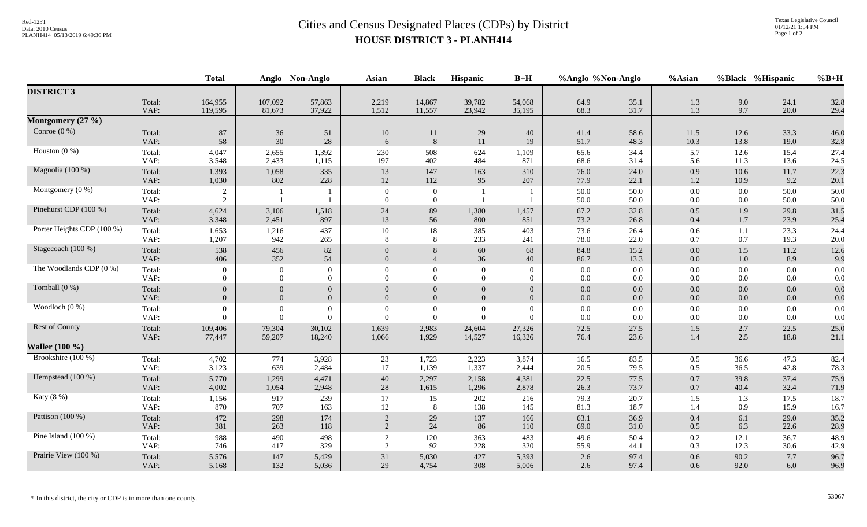## Red-125T<br>Data: 2010 Census<br>PLANH414 05/13/2019 6:49:36 PM<br>**Cities and Census Designated Places (CDPs)** by District **HOUSE DISTRICT 3 - PLANH414**

|                            |                | <b>Total</b><br>Anglo            |              | Non-Anglo      | <b>Asian</b>         | <b>Black</b>                     | Hispanic       | $B+H$          | %Anglo %Non-Anglo |              | %Asian             |            | %Black %Hispanic | $%B+H$       |
|----------------------------|----------------|----------------------------------|--------------|----------------|----------------------|----------------------------------|----------------|----------------|-------------------|--------------|--------------------|------------|------------------|--------------|
| <b>DISTRICT 3</b>          |                |                                  |              |                |                      |                                  |                |                |                   |              |                    |            |                  |              |
|                            | Total:         | 164,955                          | 107,092      | 57,863         | 2,219                | 14,867                           | 39,782         | 54,068         | 64.9              | 35.1         | 1.3                | 9.0        | 24.1             | 32.8         |
|                            | VAP:           | 119,595                          | 81,673       | 37,922         | 1,512                | 11,557                           | 23,942         | 35,195         | 68.3              | 31.7         | 1.3                | 9.7        | 20.0             | 29.4         |
| Montgomery (27 %)          |                |                                  |              |                |                      |                                  |                |                |                   |              |                    |            |                  |              |
| Conroe $(0\%)$             | Total:         | $87\,$                           | 36           | 51             | 10                   | 11                               | 29             | 40             | 41.4              | 58.6         | 11.5               | 12.6       | 33.3             | 46.0         |
|                            | VAP:           | 58                               | 30           | 28             | 6                    | 8                                | 11             | 19             | 51.7              | 48.3         | 10.3               | 13.8       | 19.0             | 32.8         |
| Houston $(0\%)$            | Total:         | 4,047                            | 2,655        | 1,392          | 230                  | 508                              | 624            | 1,109          | 65.6              | 34.4         | 5.7                | 12.6       | 15.4             | 27.4         |
|                            | VAP:           | 3,548                            | 2,433        | 1,115          | 197                  | 402                              | 484            | 871            | 68.6              | 31.4         | 5.6                | 11.3       | 13.6             | 24.5         |
| Magnolia (100 %)           | Total:         | 1,393                            | 1,058        | 335            | 13                   | 147                              | 163            | 310            | 76.0              | 24.0         | 0.9                | 10.6       | 11.7             | 22.3         |
|                            | VAP:           | 1,030                            | 802          | 228            | 12                   | 112                              | 95             | 207            | 77.9              | 22.1         | 1.2                | 10.9       | 9.2              | 20.1         |
| Montgomery $(0\%)$         | Total:<br>VAP: | $\overline{2}$<br>$\overline{2}$ | $\mathbf{1}$ |                | $\Omega$<br>$\Omega$ | $\overline{0}$<br>$\overline{0}$ |                |                | 50.0<br>50.0      | 50.0<br>50.0 | $0.0\,$<br>$0.0\,$ | 0.0<br>0.0 | 50.0<br>50.0     | 50.0<br>50.0 |
| Pinehurst CDP (100 %)      | Total:         | 4,624                            | 3,106        | 1,518          | $24\,$               | 89                               | 1,380          | 1,457          | 67.2              | 32.8         | 0.5                | 1.9        | 29.8             | 31.5         |
|                            | VAP:           | 3,348                            | 2,451        | 897            | 13                   | 56                               | 800            | 851            | 73.2              | 26.8         | 0.4                | 1.7        | 23.9             | 25.4         |
| Porter Heights CDP (100 %) | Total:         | 1,653                            | 1,216        | 437            | 10                   | 18                               | 385            | 403            | 73.6              | 26.4         | 0.6                | 1.1        | 23.3             | 24.4         |
|                            | VAP:           | 1,207                            | 942          | 265            | 8                    | 8                                | 233            | 241            | 78.0              | 22.0         | 0.7                | 0.7        | 19.3             | 20.0         |
| Stagecoach (100 %)         | Total:         | 538                              | 456          | 82             | $\overline{0}$       | 8                                | 60             | 68             | 84.8              | 15.2         | 0.0                | 1.5        | 11.2             | 12.6         |
|                            | VAP:           | 406                              | 352          | 54             | $\overline{0}$       | $\overline{4}$                   | 36             | 40             | 86.7              | 13.3         | 0.0                | 1.0        | 8.9              | 9.9          |
| The Woodlands CDP (0 %)    | Total:         | $\Omega$                         | $\theta$     | $\mathbf{0}$   | $\Omega$             | $\overline{0}$                   | $\overline{0}$ | $\Omega$       | 0.0               | $0.0\,$      | $0.0\,$            | 0.0        | $0.0\,$          | $0.0\,$      |
|                            | VAP:           | $\Omega$                         | $\Omega$     | $\overline{0}$ | $\Omega$             | $\Omega$                         | $\Omega$       | $\Omega$       | $0.0\,$           | $0.0\,$      | $0.0\,$            | 0.0        | 0.0              | 0.0          |
| Tomball (0 %)              | Total:         | $\overline{0}$                   | $\Omega$     | $\overline{0}$ | $\Omega$             | $\Omega$                         | $\overline{0}$ | $\overline{0}$ | 0.0               | 0.0          | 0.0                | 0.0        | 0.0              | 0.0          |
|                            | VAP:           | $\overline{0}$                   | $\Omega$     | $\overline{0}$ | $\Omega$             | $\Omega$                         | $\overline{0}$ | $\mathbf{0}$   | 0.0               | 0.0          | 0.0                | 0.0        | $0.0\,$          | 0.0          |
| Woodloch (0 %)             | Total:         | $\theta$                         | $\theta$     | $\overline{0}$ | $\Omega$             | $\overline{0}$                   | $\theta$       | $\overline{0}$ | 0.0               | 0.0          | 0.0                | 0.0        | $0.0\,$          | $0.0\,$      |
|                            | VAP:           | $\theta$                         | $\Omega$     | $\Omega$       | $\Omega$             | $\overline{0}$                   | $\Omega$       | $\Omega$       | 0.0               | $0.0\,$      | 0.0                | 0.0        | 0.0              | 0.0          |
| Rest of County             | Total:         | 109,406                          | 79,304       | 30,102         | 1,639                | 2,983                            | 24,604         | 27,326         | 72.5              | 27.5         | 1.5                | 2.7        | 22.5             | 25.0         |
|                            | VAP:           | 77,447                           | 59,207       | 18,240         | 1,066                | 1,929                            | 14,527         | 16,326         | 76.4              | 23.6         | 1.4                | 2.5        | 18.8             | 21.1         |
| <b>Waller</b> (100 %)      |                |                                  |              |                |                      |                                  |                |                |                   |              |                    |            |                  |              |
| Brookshire (100 %)         | Total:         | 4,702                            | 774          | 3,928          | 23                   | 1,723                            | 2,223          | 3,874          | 16.5              | 83.5         | 0.5                | 36.6       | 47.3             | 82.4         |
|                            | VAP:           | 3,123                            | 639          | 2,484          | 17                   | 1,139                            | 1,337          | 2,444          | 20.5              | 79.5         | 0.5                | 36.5       | 42.8             | 78.3         |
| Hempstead (100 %)          | Total:         | 5,770                            | 1,299        | 4,471          | 40                   | 2,297                            | 2,158          | 4,381          | 22.5              | 77.5         | 0.7                | 39.8       | 37.4             | 75.9         |
|                            | VAP:           | 4,002                            | 1,054        | 2,948          | 28                   | 1,615                            | 1,296          | 2,878          | 26.3              | 73.7         | 0.7                | 40.4       | 32.4             | 71.9         |
| Katy (8 %)                 | Total:         | 1,156                            | 917          | 239            | 17                   | 15                               | 202            | 216            | 79.3              | 20.7         | 1.5                | 1.3        | 17.5             | 18.7         |
|                            | VAP:           | 870                              | 707          | 163            | 12                   | 8                                | 138            | 145            | 81.3              | 18.7         | 1.4                | 0.9        | 15.9             | 16.7         |
| Pattison $(100\%)$         | Total:         | 472                              | 298          | 174            | 2                    | 29                               | 137            | 166            | 63.1              | 36.9         | 0.4                | 6.1        | 29.0             | 35.2         |
|                            | VAP:           | 381                              | 263          | 118            | 2                    | 24                               | 86             | 110            | 69.0              | 31.0         | 0.5                | 6.3        | 22.6             | 28.9         |
| Pine Island $(100\%)$      | Total:         | 988                              | 490          | 498            | 2                    | 120                              | 363            | 483            | 49.6              | 50.4         | 0.2                | 12.1       | 36.7             | 48.9         |
|                            | VAP:           | 746                              | 417          | 329            | 2                    | 92                               | 228            | 320            | 55.9              | 44.1         | 0.3                | 12.3       | 30.6             | 42.9         |
| Prairie View (100 %)       | Total:         | 5,576                            | 147          | 5,429          | 31                   | 5,030                            | 427            | 5,393          | $2.6\,$           | 97.4         | 0.6                | 90.2       | $7.7\,$          | 96.7         |
|                            | VAP:           | 5,168                            | 132          | 5,036          | 29                   | 4,754                            | 308            | 5,006          | 2.6               | 97.4         | 0.6                | 92.0       | 6.0              | 96.9         |